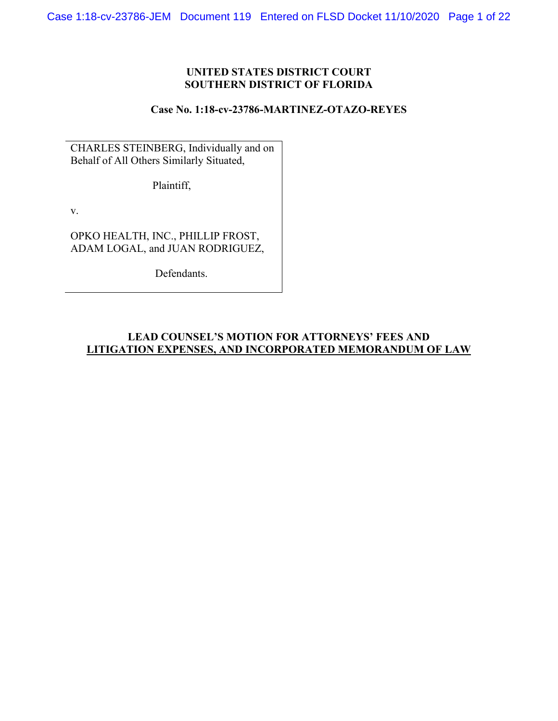# **UNITED STATES DISTRICT COURT SOUTHERN DISTRICT OF FLORIDA**

### **Case No. 1:18-cv-23786-MARTINEZ-OTAZO-REYES**

CHARLES STEINBERG, Individually and on Behalf of All Others Similarly Situated,

Plaintiff,

v.

OPKO HEALTH, INC., PHILLIP FROST, ADAM LOGAL, and JUAN RODRIGUEZ,

Defendants.

# **LEAD COUNSEL'S MOTION FOR ATTORNEYS' FEES AND LITIGATION EXPENSES, AND INCORPORATED MEMORANDUM OF LAW**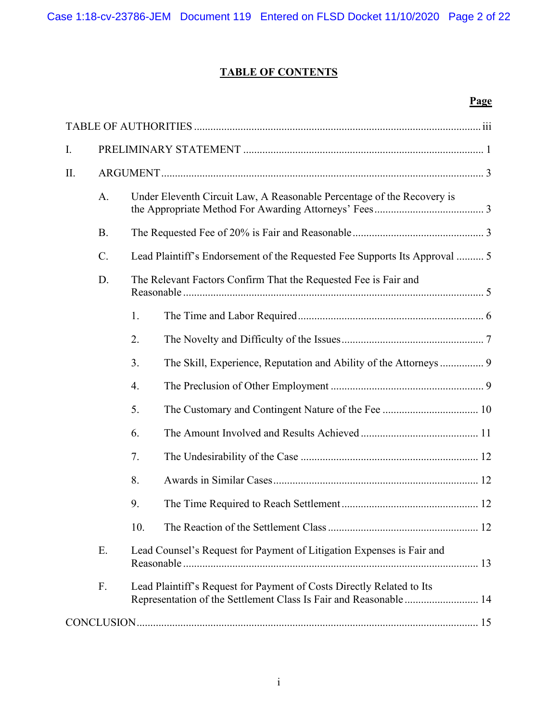# **TABLE OF CONTENTS**

# **Page**

| $\mathbf{I}$ . |                                                                             |                                                                            |                                                                                                                                            |  |
|----------------|-----------------------------------------------------------------------------|----------------------------------------------------------------------------|--------------------------------------------------------------------------------------------------------------------------------------------|--|
| II.            |                                                                             |                                                                            |                                                                                                                                            |  |
|                | A.                                                                          |                                                                            | Under Eleventh Circuit Law, A Reasonable Percentage of the Recovery is                                                                     |  |
|                | <b>B.</b>                                                                   |                                                                            |                                                                                                                                            |  |
|                | C.                                                                          | Lead Plaintiff's Endorsement of the Requested Fee Supports Its Approval  5 |                                                                                                                                            |  |
|                | D.<br>The Relevant Factors Confirm That the Requested Fee is Fair and       |                                                                            |                                                                                                                                            |  |
|                |                                                                             | 1.                                                                         |                                                                                                                                            |  |
|                |                                                                             | 2.                                                                         |                                                                                                                                            |  |
|                |                                                                             | 3.                                                                         | The Skill, Experience, Reputation and Ability of the Attorneys 9                                                                           |  |
|                |                                                                             | 4.                                                                         |                                                                                                                                            |  |
|                |                                                                             | 5.                                                                         |                                                                                                                                            |  |
|                |                                                                             | 6.                                                                         |                                                                                                                                            |  |
|                |                                                                             | 7.                                                                         |                                                                                                                                            |  |
|                |                                                                             | 8.                                                                         |                                                                                                                                            |  |
|                |                                                                             | 9.                                                                         |                                                                                                                                            |  |
|                |                                                                             | 10.                                                                        |                                                                                                                                            |  |
|                | E.<br>Lead Counsel's Request for Payment of Litigation Expenses is Fair and |                                                                            |                                                                                                                                            |  |
|                | F.                                                                          |                                                                            | Lead Plaintiff's Request for Payment of Costs Directly Related to Its<br>Representation of the Settlement Class Is Fair and Reasonable  14 |  |
|                |                                                                             |                                                                            |                                                                                                                                            |  |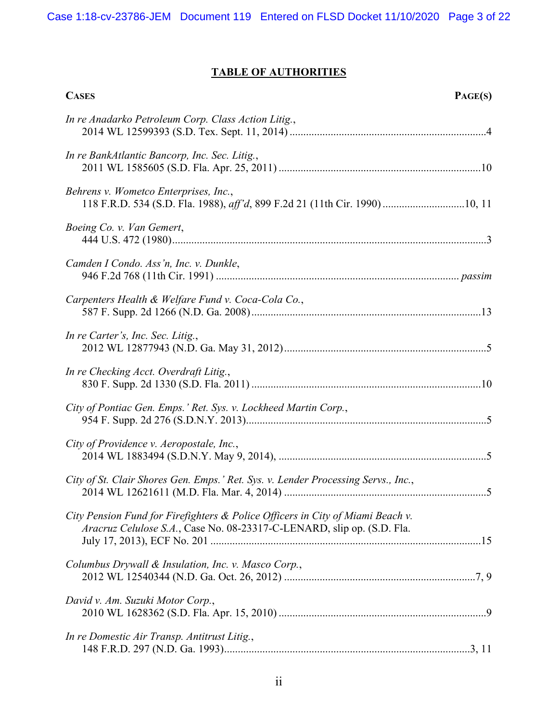# **TABLE OF AUTHORITIES**

| <b>CASES</b><br>PAGE(S)                                                                                                                                  |
|----------------------------------------------------------------------------------------------------------------------------------------------------------|
| In re Anadarko Petroleum Corp. Class Action Litig.,                                                                                                      |
| In re BankAtlantic Bancorp, Inc. Sec. Litig.,                                                                                                            |
| Behrens v. Wometco Enterprises, Inc.,                                                                                                                    |
| Boeing Co. v. Van Gemert,                                                                                                                                |
| Camden I Condo. Ass'n, Inc. v. Dunkle,                                                                                                                   |
| Carpenters Health & Welfare Fund v. Coca-Cola Co.,                                                                                                       |
| In re Carter's, Inc. Sec. Litig.,                                                                                                                        |
| In re Checking Acct. Overdraft Litig.,                                                                                                                   |
| City of Pontiac Gen. Emps.' Ret. Sys. v. Lockheed Martin Corp.,                                                                                          |
| City of Providence v. Aeropostale, Inc.,                                                                                                                 |
| City of St. Clair Shores Gen. Emps.' Ret. Sys. v. Lender Processing Servs., Inc.,                                                                        |
| City Pension Fund for Firefighters & Police Officers in City of Miami Beach v.<br>Aracruz Celulose S.A., Case No. 08-23317-C-LENARD, slip op. (S.D. Fla. |
| Columbus Drywall & Insulation, Inc. v. Masco Corp.,                                                                                                      |
| David v. Am. Suzuki Motor Corp.,                                                                                                                         |
| In re Domestic Air Transp. Antitrust Litig.,                                                                                                             |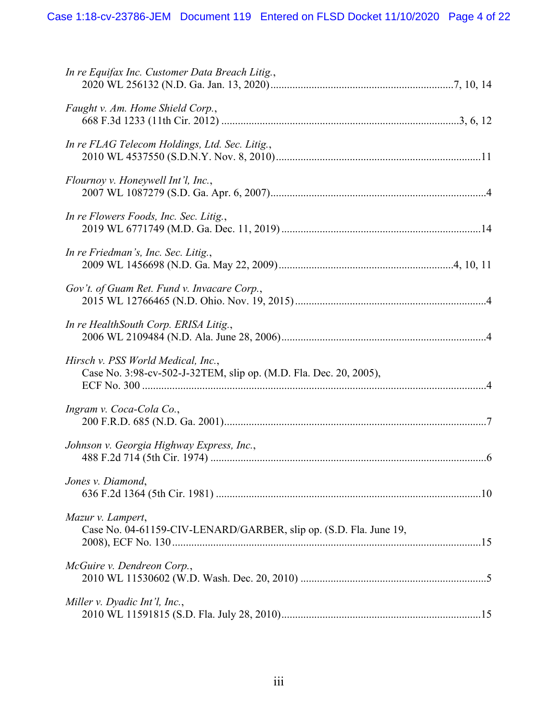| In re Equifax Inc. Customer Data Breach Litig.,                                                         |
|---------------------------------------------------------------------------------------------------------|
| Faught v. Am. Home Shield Corp.,                                                                        |
| In re FLAG Telecom Holdings, Ltd. Sec. Litig.,                                                          |
| Flournoy v. Honeywell Int'l, Inc.,                                                                      |
| In re Flowers Foods, Inc. Sec. Litig.,                                                                  |
| In re Friedman's, Inc. Sec. Litig.,                                                                     |
| Gov't. of Guam Ret. Fund v. Invacare Corp.,                                                             |
| In re HealthSouth Corp. ERISA Litig.,                                                                   |
| Hirsch v. PSS World Medical, Inc.,<br>Case No. 3:98-cv-502-J-32TEM, slip op. (M.D. Fla. Dec. 20, 2005), |
| Ingram v. Coca-Cola Co.,                                                                                |
| Johnson v. Georgia Highway Express, Inc.,                                                               |
| Jones v. Diamond,                                                                                       |
| Mazur v. Lampert,<br>Case No. 04-61159-CIV-LENARD/GARBER, slip op. (S.D. Fla. June 19,                  |
| McGuire v. Dendreon Corp.,                                                                              |
| Miller v. Dyadic Int'l, Inc.,                                                                           |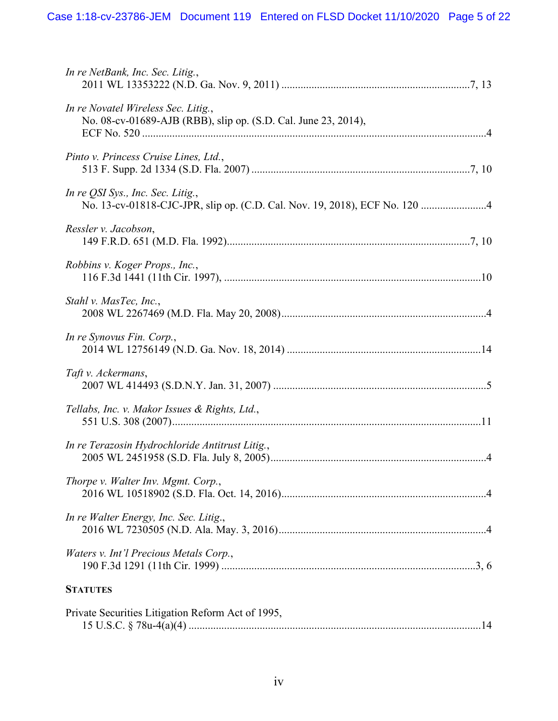| In re NetBank, Inc. Sec. Litig.,                                                                                |
|-----------------------------------------------------------------------------------------------------------------|
| In re Novatel Wireless Sec. Litig.,<br>No. 08-cv-01689-AJB (RBB), slip op. (S.D. Cal. June 23, 2014),           |
| Pinto v. Princess Cruise Lines, Ltd.,                                                                           |
| In re QSI Sys., Inc. Sec. Litig.,<br>No. 13-cv-01818-CJC-JPR, slip op. (C.D. Cal. Nov. 19, 2018), ECF No. 120 4 |
| Ressler v. Jacobson,                                                                                            |
| Robbins v. Koger Props., Inc.,                                                                                  |
| Stahl v. MasTec, Inc.,                                                                                          |
| In re Synovus Fin. Corp.,                                                                                       |
| Taft v. Ackermans,                                                                                              |
| Tellabs, Inc. v. Makor Issues & Rights, Ltd.,                                                                   |
| In re Terazosin Hydrochloride Antitrust Litig.,                                                                 |
| Thorpe v. Walter Inv. Mgmt. Corp.,                                                                              |
| In re Walter Energy, Inc. Sec. Litig.,                                                                          |
| Waters v. Int'l Precious Metals Corp.,                                                                          |
| <b>STATUTES</b>                                                                                                 |
| Private Securities Litigation Reform Act of 1995,                                                               |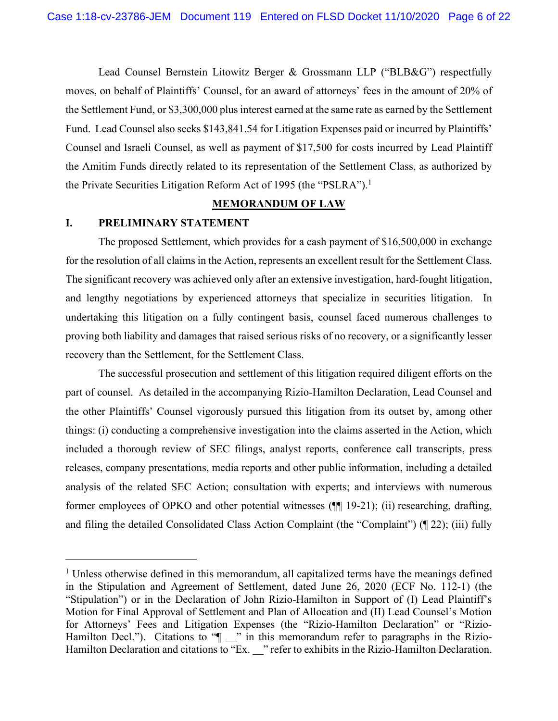Lead Counsel Bernstein Litowitz Berger & Grossmann LLP ("BLB&G") respectfully moves, on behalf of Plaintiffs' Counsel, for an award of attorneys' fees in the amount of 20% of the Settlement Fund, or \$3,300,000 plus interest earned at the same rate as earned by the Settlement Fund. Lead Counsel also seeks \$143,841.54 for Litigation Expenses paid or incurred by Plaintiffs' Counsel and Israeli Counsel, as well as payment of \$17,500 for costs incurred by Lead Plaintiff the Amitim Funds directly related to its representation of the Settlement Class, as authorized by the Private Securities Litigation Reform Act of 1995 (the "PSLRA").<sup>1</sup>

#### **MEMORANDUM OF LAW**

## **I. PRELIMINARY STATEMENT**

The proposed Settlement, which provides for a cash payment of \$16,500,000 in exchange for the resolution of all claims in the Action, represents an excellent result for the Settlement Class. The significant recovery was achieved only after an extensive investigation, hard-fought litigation, and lengthy negotiations by experienced attorneys that specialize in securities litigation. In undertaking this litigation on a fully contingent basis, counsel faced numerous challenges to proving both liability and damages that raised serious risks of no recovery, or a significantly lesser recovery than the Settlement, for the Settlement Class.

The successful prosecution and settlement of this litigation required diligent efforts on the part of counsel. As detailed in the accompanying Rizio-Hamilton Declaration, Lead Counsel and the other Plaintiffs' Counsel vigorously pursued this litigation from its outset by, among other things: (i) conducting a comprehensive investigation into the claims asserted in the Action, which included a thorough review of SEC filings, analyst reports, conference call transcripts, press releases, company presentations, media reports and other public information, including a detailed analysis of the related SEC Action; consultation with experts; and interviews with numerous former employees of OPKO and other potential witnesses (¶¶ 19-21); (ii) researching, drafting, and filing the detailed Consolidated Class Action Complaint (the "Complaint") (¶ 22); (iii) fully

<sup>&</sup>lt;sup>1</sup> Unless otherwise defined in this memorandum, all capitalized terms have the meanings defined in the Stipulation and Agreement of Settlement, dated June 26, 2020 (ECF No. 112-1) (the "Stipulation") or in the Declaration of John Rizio-Hamilton in Support of (I) Lead Plaintiff's Motion for Final Approval of Settlement and Plan of Allocation and (II) Lead Counsel's Motion for Attorneys' Fees and Litigation Expenses (the "Rizio-Hamilton Declaration" or "Rizio-Hamilton Decl."). Citations to " $\blacksquare$ " in this memorandum refer to paragraphs in the Rizio-Hamilton Declaration and citations to "Ex. \_" refer to exhibits in the Rizio-Hamilton Declaration.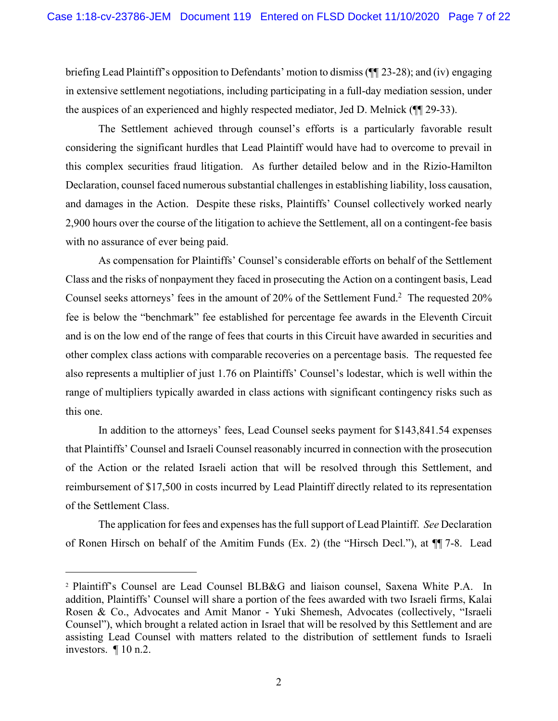briefing Lead Plaintiff's opposition to Defendants' motion to dismiss (¶¶ 23-28); and (iv) engaging in extensive settlement negotiations, including participating in a full-day mediation session, under the auspices of an experienced and highly respected mediator, Jed D. Melnick (¶¶ 29-33).

The Settlement achieved through counsel's efforts is a particularly favorable result considering the significant hurdles that Lead Plaintiff would have had to overcome to prevail in this complex securities fraud litigation. As further detailed below and in the Rizio-Hamilton Declaration, counsel faced numerous substantial challenges in establishing liability, loss causation, and damages in the Action. Despite these risks, Plaintiffs' Counsel collectively worked nearly 2,900 hours over the course of the litigation to achieve the Settlement, all on a contingent-fee basis with no assurance of ever being paid.

As compensation for Plaintiffs' Counsel's considerable efforts on behalf of the Settlement Class and the risks of nonpayment they faced in prosecuting the Action on a contingent basis, Lead Counsel seeks attorneys' fees in the amount of 20% of the Settlement Fund.<sup>2</sup> The requested 20% fee is below the "benchmark" fee established for percentage fee awards in the Eleventh Circuit and is on the low end of the range of fees that courts in this Circuit have awarded in securities and other complex class actions with comparable recoveries on a percentage basis. The requested fee also represents a multiplier of just 1.76 on Plaintiffs' Counsel's lodestar, which is well within the range of multipliers typically awarded in class actions with significant contingency risks such as this one.

In addition to the attorneys' fees, Lead Counsel seeks payment for \$143,841.54 expenses that Plaintiffs' Counsel and Israeli Counsel reasonably incurred in connection with the prosecution of the Action or the related Israeli action that will be resolved through this Settlement, and reimbursement of \$17,500 in costs incurred by Lead Plaintiff directly related to its representation of the Settlement Class.

The application for fees and expenses has the full support of Lead Plaintiff. *See* Declaration of Ronen Hirsch on behalf of the Amitim Funds (Ex. 2) (the "Hirsch Decl."), at ¶¶ 7-8. Lead

<sup>2</sup> Plaintiff's Counsel are Lead Counsel BLB&G and liaison counsel, Saxena White P.A. In addition, Plaintiffs' Counsel will share a portion of the fees awarded with two Israeli firms, Kalai Rosen & Co., Advocates and Amit Manor - Yuki Shemesh, Advocates (collectively, "Israeli Counsel"), which brought a related action in Israel that will be resolved by this Settlement and are assisting Lead Counsel with matters related to the distribution of settlement funds to Israeli investors. ¶ 10 n.2.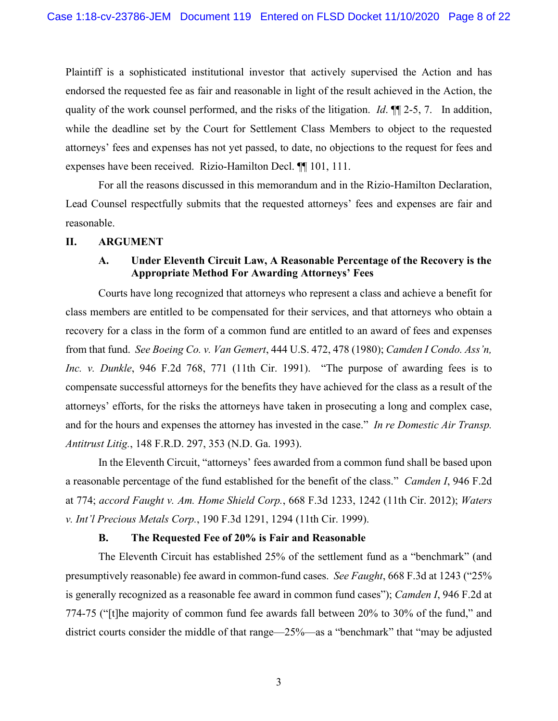Plaintiff is a sophisticated institutional investor that actively supervised the Action and has endorsed the requested fee as fair and reasonable in light of the result achieved in the Action, the quality of the work counsel performed, and the risks of the litigation. *Id*. ¶¶ 2-5, 7. In addition, while the deadline set by the Court for Settlement Class Members to object to the requested attorneys' fees and expenses has not yet passed, to date, no objections to the request for fees and expenses have been received. Rizio-Hamilton Decl. ¶¶ 101, 111.

For all the reasons discussed in this memorandum and in the Rizio-Hamilton Declaration, Lead Counsel respectfully submits that the requested attorneys' fees and expenses are fair and reasonable.

### **II. ARGUMENT**

# **A. Under Eleventh Circuit Law, A Reasonable Percentage of the Recovery is the Appropriate Method For Awarding Attorneys' Fees**

Courts have long recognized that attorneys who represent a class and achieve a benefit for class members are entitled to be compensated for their services, and that attorneys who obtain a recovery for a class in the form of a common fund are entitled to an award of fees and expenses from that fund. *See Boeing Co. v. Van Gemert*, 444 U.S. 472, 478 (1980); *Camden I Condo. Ass'n, Inc. v. Dunkle*, 946 F.2d 768, 771 (11th Cir. 1991). "The purpose of awarding fees is to compensate successful attorneys for the benefits they have achieved for the class as a result of the attorneys' efforts, for the risks the attorneys have taken in prosecuting a long and complex case, and for the hours and expenses the attorney has invested in the case." *In re Domestic Air Transp. Antitrust Litig.*, 148 F.R.D. 297, 353 (N.D. Ga. 1993).

In the Eleventh Circuit, "attorneys' fees awarded from a common fund shall be based upon a reasonable percentage of the fund established for the benefit of the class." *Camden I*, 946 F.2d at 774; *accord Faught v. Am. Home Shield Corp.*, 668 F.3d 1233, 1242 (11th Cir. 2012); *Waters v. Int'l Precious Metals Corp.*, 190 F.3d 1291, 1294 (11th Cir. 1999).

### **B. The Requested Fee of 20% is Fair and Reasonable**

The Eleventh Circuit has established 25% of the settlement fund as a "benchmark" (and presumptively reasonable) fee award in common-fund cases. *See Faught*, 668 F.3d at 1243 ("25% is generally recognized as a reasonable fee award in common fund cases"); *Camden I*, 946 F.2d at 774-75 ("[t]he majority of common fund fee awards fall between 20% to 30% of the fund," and district courts consider the middle of that range—25%—as a "benchmark" that "may be adjusted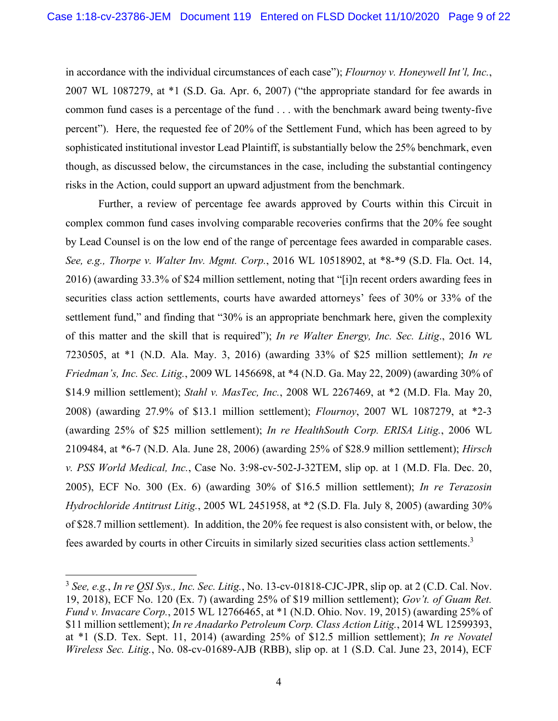in accordance with the individual circumstances of each case"); *Flournoy v. Honeywell Int'l, Inc.*, 2007 WL 1087279, at \*1 (S.D. Ga. Apr. 6, 2007) ("the appropriate standard for fee awards in common fund cases is a percentage of the fund . . . with the benchmark award being twenty-five percent"). Here, the requested fee of 20% of the Settlement Fund, which has been agreed to by sophisticated institutional investor Lead Plaintiff, is substantially below the 25% benchmark, even though, as discussed below, the circumstances in the case, including the substantial contingency risks in the Action, could support an upward adjustment from the benchmark.

Further, a review of percentage fee awards approved by Courts within this Circuit in complex common fund cases involving comparable recoveries confirms that the 20% fee sought by Lead Counsel is on the low end of the range of percentage fees awarded in comparable cases. *See, e.g., Thorpe v. Walter Inv. Mgmt. Corp.*, 2016 WL 10518902, at \*8-\*9 (S.D. Fla. Oct. 14, 2016) (awarding 33.3% of \$24 million settlement, noting that "[i]n recent orders awarding fees in securities class action settlements, courts have awarded attorneys' fees of 30% or 33% of the settlement fund," and finding that "30% is an appropriate benchmark here, given the complexity of this matter and the skill that is required"); *In re Walter Energy, Inc. Sec. Litig*., 2016 WL 7230505, at \*1 (N.D. Ala. May. 3, 2016) (awarding 33% of \$25 million settlement); *In re Friedman's, Inc. Sec. Litig.*, 2009 WL 1456698, at \*4 (N.D. Ga. May 22, 2009) (awarding 30% of \$14.9 million settlement); *Stahl v. MasTec, Inc.*, 2008 WL 2267469, at \*2 (M.D. Fla. May 20, 2008) (awarding 27.9% of \$13.1 million settlement); *Flournoy*, 2007 WL 1087279, at \*2-3 (awarding 25% of \$25 million settlement); *In re HealthSouth Corp. ERISA Litig.*, 2006 WL 2109484, at \*6-7 (N.D. Ala. June 28, 2006) (awarding 25% of \$28.9 million settlement); *Hirsch v. PSS World Medical, Inc.*, Case No. 3:98-cv-502-J-32TEM, slip op. at 1 (M.D. Fla. Dec. 20, 2005), ECF No. 300 (Ex. 6) (awarding 30% of \$16.5 million settlement); *In re Terazosin Hydrochloride Antitrust Litig.*, 2005 WL 2451958, at \*2 (S.D. Fla. July 8, 2005) (awarding 30% of \$28.7 million settlement). In addition, the 20% fee request is also consistent with, or below, the fees awarded by courts in other Circuits in similarly sized securities class action settlements.<sup>3</sup>

<sup>3</sup> *See, e.g.*, *In re QSI Sys., Inc. Sec. Litig.*, No. 13-cv-01818-CJC-JPR, slip op. at 2 (C.D. Cal. Nov. 19, 2018), ECF No. 120 (Ex. 7) (awarding 25% of \$19 million settlement); *Gov't. of Guam Ret. Fund v. Invacare Corp.*, 2015 WL 12766465, at \*1 (N.D. Ohio. Nov. 19, 2015) (awarding 25% of \$11 million settlement); *In re Anadarko Petroleum Corp. Class Action Litig.*, 2014 WL 12599393, at \*1 (S.D. Tex. Sept. 11, 2014) (awarding 25% of \$12.5 million settlement); *In re Novatel Wireless Sec. Litig.*, No. 08-cv-01689-AJB (RBB), slip op. at 1 (S.D. Cal. June 23, 2014), ECF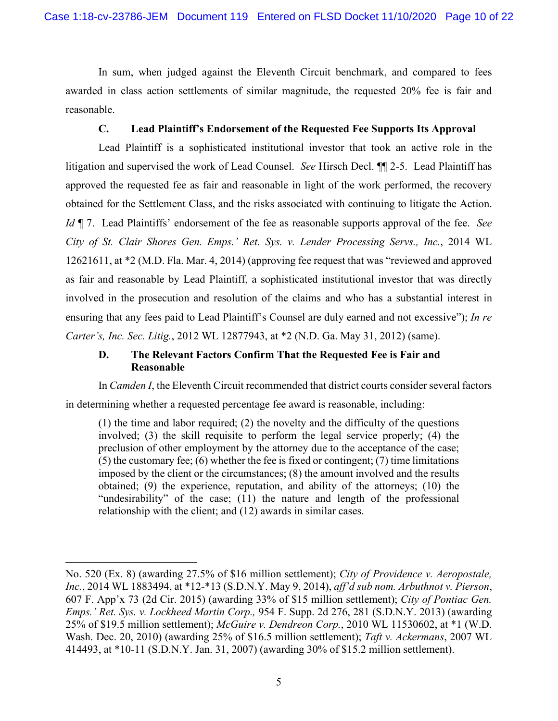In sum, when judged against the Eleventh Circuit benchmark, and compared to fees awarded in class action settlements of similar magnitude, the requested 20% fee is fair and reasonable.

# **C. Lead Plaintiff's Endorsement of the Requested Fee Supports Its Approval**

Lead Plaintiff is a sophisticated institutional investor that took an active role in the litigation and supervised the work of Lead Counsel. *See* Hirsch Decl. ¶¶ 2-5. Lead Plaintiff has approved the requested fee as fair and reasonable in light of the work performed, the recovery obtained for the Settlement Class, and the risks associated with continuing to litigate the Action. *Id* ¶ 7. Lead Plaintiffs' endorsement of the fee as reasonable supports approval of the fee. *See City of St. Clair Shores Gen. Emps.' Ret. Sys. v. Lender Processing Servs., Inc.*, 2014 WL 12621611, at \*2 (M.D. Fla. Mar. 4, 2014) (approving fee request that was "reviewed and approved as fair and reasonable by Lead Plaintiff, a sophisticated institutional investor that was directly involved in the prosecution and resolution of the claims and who has a substantial interest in ensuring that any fees paid to Lead Plaintiff's Counsel are duly earned and not excessive"); *In re Carter's, Inc. Sec. Litig.*, 2012 WL 12877943, at \*2 (N.D. Ga. May 31, 2012) (same).

# **D. The Relevant Factors Confirm That the Requested Fee is Fair and Reasonable**

In *Camden I*, the Eleventh Circuit recommended that district courts consider several factors in determining whether a requested percentage fee award is reasonable, including:

(1) the time and labor required; (2) the novelty and the difficulty of the questions involved; (3) the skill requisite to perform the legal service properly; (4) the preclusion of other employment by the attorney due to the acceptance of the case; (5) the customary fee; (6) whether the fee is fixed or contingent; (7) time limitations imposed by the client or the circumstances; (8) the amount involved and the results obtained; (9) the experience, reputation, and ability of the attorneys; (10) the "undesirability" of the case; (11) the nature and length of the professional relationship with the client; and (12) awards in similar cases.

No. 520 (Ex. 8) (awarding 27.5% of \$16 million settlement); *City of Providence v. Aeropostale, Inc.*, 2014 WL 1883494, at \*12-\*13 (S.D.N.Y. May 9, 2014), *aff'd sub nom. Arbuthnot v. Pierson*, 607 F. App'x 73 (2d Cir. 2015) (awarding 33% of \$15 million settlement); *City of Pontiac Gen. Emps.' Ret. Sys. v. Lockheed Martin Corp.,* 954 F. Supp. 2d 276, 281 (S.D.N.Y. 2013) (awarding 25% of \$19.5 million settlement); *McGuire v. Dendreon Corp.*, 2010 WL 11530602, at \*1 (W.D. Wash. Dec. 20, 2010) (awarding 25% of \$16.5 million settlement); *Taft v. Ackermans*, 2007 WL 414493, at \*10-11 (S.D.N.Y. Jan. 31, 2007) (awarding 30% of \$15.2 million settlement).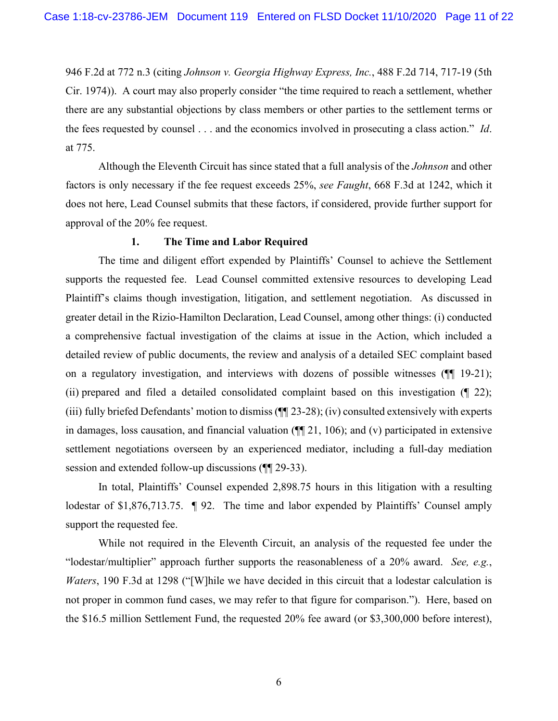946 F.2d at 772 n.3 (citing *Johnson v. Georgia Highway Express, Inc.*, 488 F.2d 714, 717-19 (5th Cir. 1974)). A court may also properly consider "the time required to reach a settlement, whether there are any substantial objections by class members or other parties to the settlement terms or the fees requested by counsel . . . and the economics involved in prosecuting a class action." *Id*. at 775.

Although the Eleventh Circuit has since stated that a full analysis of the *Johnson* and other factors is only necessary if the fee request exceeds 25%, *see Faught*, 668 F.3d at 1242, which it does not here, Lead Counsel submits that these factors, if considered, provide further support for approval of the 20% fee request.

# **1. The Time and Labor Required**

The time and diligent effort expended by Plaintiffs' Counsel to achieve the Settlement supports the requested fee. Lead Counsel committed extensive resources to developing Lead Plaintiff's claims though investigation, litigation, and settlement negotiation. As discussed in greater detail in the Rizio-Hamilton Declaration, Lead Counsel, among other things: (i) conducted a comprehensive factual investigation of the claims at issue in the Action, which included a detailed review of public documents, the review and analysis of a detailed SEC complaint based on a regulatory investigation, and interviews with dozens of possible witnesses (¶¶ 19-21); (ii) prepared and filed a detailed consolidated complaint based on this investigation (¶ 22); (iii) fully briefed Defendants' motion to dismiss (¶¶ 23-28); (iv) consulted extensively with experts in damages, loss causation, and financial valuation (¶¶ 21, 106); and (v) participated in extensive settlement negotiations overseen by an experienced mediator, including a full-day mediation session and extended follow-up discussions (¶¶ 29-33).

In total, Plaintiffs' Counsel expended 2,898.75 hours in this litigation with a resulting lodestar of \$1,876,713.75.  $\parallel$  92. The time and labor expended by Plaintiffs' Counsel amply support the requested fee.

While not required in the Eleventh Circuit, an analysis of the requested fee under the "lodestar/multiplier" approach further supports the reasonableness of a 20% award. *See, e.g.*, *Waters*, 190 F.3d at 1298 ("[W]hile we have decided in this circuit that a lodestar calculation is not proper in common fund cases, we may refer to that figure for comparison."). Here, based on the \$16.5 million Settlement Fund, the requested 20% fee award (or \$3,300,000 before interest),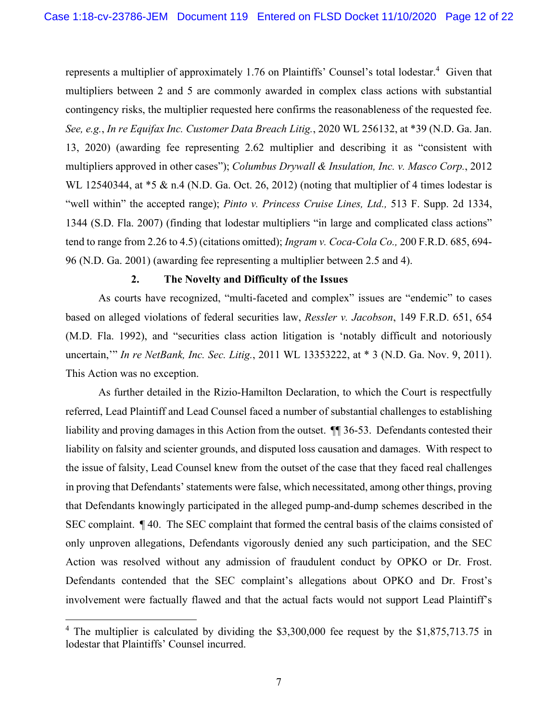represents a multiplier of approximately 1.76 on Plaintiffs' Counsel's total lodestar.<sup>4</sup> Given that multipliers between 2 and 5 are commonly awarded in complex class actions with substantial contingency risks, the multiplier requested here confirms the reasonableness of the requested fee. *See, e.g.*, *In re Equifax Inc. Customer Data Breach Litig.*, 2020 WL 256132, at \*39 (N.D. Ga. Jan. 13, 2020) (awarding fee representing 2.62 multiplier and describing it as "consistent with multipliers approved in other cases"); *Columbus Drywall & Insulation, Inc. v. Masco Corp.*, 2012 WL 12540344, at  $*5 \& n.4$  (N.D. Ga. Oct. 26, 2012) (noting that multiplier of 4 times lodestar is "well within" the accepted range); *Pinto v. Princess Cruise Lines, Ltd.,* 513 F. Supp. 2d 1334, 1344 (S.D. Fla. 2007) (finding that lodestar multipliers "in large and complicated class actions" tend to range from 2.26 to 4.5) (citations omitted); *Ingram v. Coca-Cola Co.,* 200 F.R.D. 685, 694- 96 (N.D. Ga. 2001) (awarding fee representing a multiplier between 2.5 and 4).

#### **2. The Novelty and Difficulty of the Issues**

As courts have recognized, "multi-faceted and complex" issues are "endemic" to cases based on alleged violations of federal securities law, *Ressler v. Jacobson*, 149 F.R.D. 651, 654 (M.D. Fla. 1992), and "securities class action litigation is 'notably difficult and notoriously uncertain,'" *In re NetBank, Inc. Sec. Litig.*, 2011 WL 13353222, at \* 3 (N.D. Ga. Nov. 9, 2011). This Action was no exception.

As further detailed in the Rizio-Hamilton Declaration, to which the Court is respectfully referred, Lead Plaintiff and Lead Counsel faced a number of substantial challenges to establishing liability and proving damages in this Action from the outset. ¶¶ 36-53. Defendants contested their liability on falsity and scienter grounds, and disputed loss causation and damages. With respect to the issue of falsity, Lead Counsel knew from the outset of the case that they faced real challenges in proving that Defendants' statements were false, which necessitated, among other things, proving that Defendants knowingly participated in the alleged pump-and-dump schemes described in the SEC complaint. ¶ 40. The SEC complaint that formed the central basis of the claims consisted of only unproven allegations, Defendants vigorously denied any such participation, and the SEC Action was resolved without any admission of fraudulent conduct by OPKO or Dr. Frost. Defendants contended that the SEC complaint's allegations about OPKO and Dr. Frost's involvement were factually flawed and that the actual facts would not support Lead Plaintiff's

<sup>&</sup>lt;sup>4</sup> The multiplier is calculated by dividing the \$3,300,000 fee request by the \$1,875,713.75 in lodestar that Plaintiffs' Counsel incurred.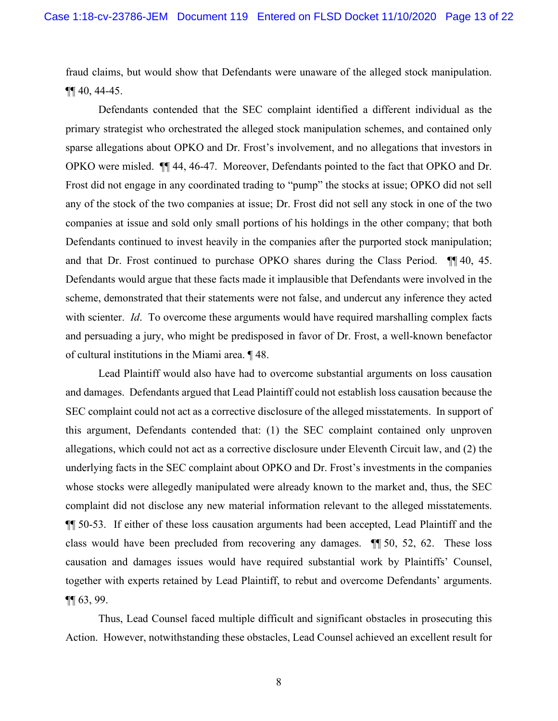fraud claims, but would show that Defendants were unaware of the alleged stock manipulation. ¶¶ 40, 44-45.

Defendants contended that the SEC complaint identified a different individual as the primary strategist who orchestrated the alleged stock manipulation schemes, and contained only sparse allegations about OPKO and Dr. Frost's involvement, and no allegations that investors in OPKO were misled. ¶¶ 44, 46-47. Moreover, Defendants pointed to the fact that OPKO and Dr. Frost did not engage in any coordinated trading to "pump" the stocks at issue; OPKO did not sell any of the stock of the two companies at issue; Dr. Frost did not sell any stock in one of the two companies at issue and sold only small portions of his holdings in the other company; that both Defendants continued to invest heavily in the companies after the purported stock manipulation; and that Dr. Frost continued to purchase OPKO shares during the Class Period. ¶¶ 40, 45. Defendants would argue that these facts made it implausible that Defendants were involved in the scheme, demonstrated that their statements were not false, and undercut any inference they acted with scienter. *Id*. To overcome these arguments would have required marshalling complex facts and persuading a jury, who might be predisposed in favor of Dr. Frost, a well-known benefactor of cultural institutions in the Miami area. ¶ 48.

Lead Plaintiff would also have had to overcome substantial arguments on loss causation and damages. Defendants argued that Lead Plaintiff could not establish loss causation because the SEC complaint could not act as a corrective disclosure of the alleged misstatements. In support of this argument, Defendants contended that: (1) the SEC complaint contained only unproven allegations, which could not act as a corrective disclosure under Eleventh Circuit law, and (2) the underlying facts in the SEC complaint about OPKO and Dr. Frost's investments in the companies whose stocks were allegedly manipulated were already known to the market and, thus, the SEC complaint did not disclose any new material information relevant to the alleged misstatements. ¶¶ 50-53. If either of these loss causation arguments had been accepted, Lead Plaintiff and the class would have been precluded from recovering any damages. ¶¶ 50, 52, 62. These loss causation and damages issues would have required substantial work by Plaintiffs' Counsel, together with experts retained by Lead Plaintiff, to rebut and overcome Defendants' arguments.  $\P\P$  63, 99.

Thus, Lead Counsel faced multiple difficult and significant obstacles in prosecuting this Action. However, notwithstanding these obstacles, Lead Counsel achieved an excellent result for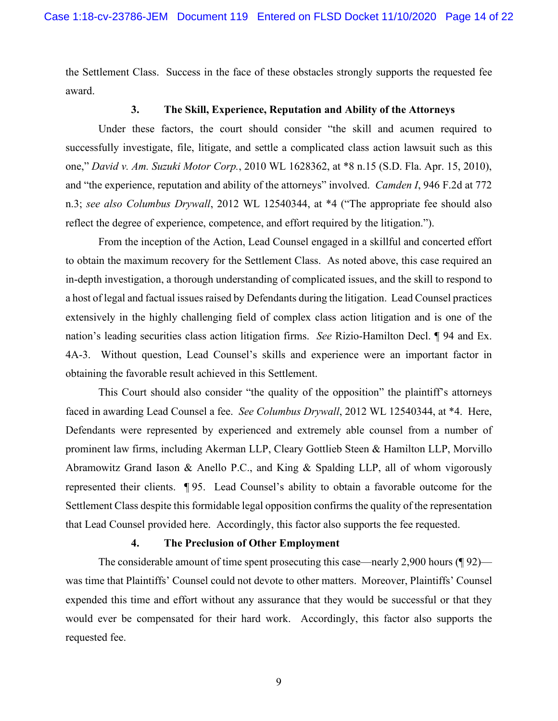the Settlement Class. Success in the face of these obstacles strongly supports the requested fee award.

# **3. The Skill, Experience, Reputation and Ability of the Attorneys**

Under these factors, the court should consider "the skill and acumen required to successfully investigate, file, litigate, and settle a complicated class action lawsuit such as this one," *David v. Am. Suzuki Motor Corp.*, 2010 WL 1628362, at \*8 n.15 (S.D. Fla. Apr. 15, 2010), and "the experience, reputation and ability of the attorneys" involved. *Camden I*, 946 F.2d at 772 n.3; *see also Columbus Drywall*, 2012 WL 12540344, at \*4 ("The appropriate fee should also reflect the degree of experience, competence, and effort required by the litigation.").

From the inception of the Action, Lead Counsel engaged in a skillful and concerted effort to obtain the maximum recovery for the Settlement Class. As noted above, this case required an in-depth investigation, a thorough understanding of complicated issues, and the skill to respond to a host of legal and factual issues raised by Defendants during the litigation. Lead Counsel practices extensively in the highly challenging field of complex class action litigation and is one of the nation's leading securities class action litigation firms. *See* Rizio-Hamilton Decl. ¶ 94 and Ex. 4A-3. Without question, Lead Counsel's skills and experience were an important factor in obtaining the favorable result achieved in this Settlement.

This Court should also consider "the quality of the opposition" the plaintiff's attorneys faced in awarding Lead Counsel a fee. *See Columbus Drywall*, 2012 WL 12540344, at \*4. Here, Defendants were represented by experienced and extremely able counsel from a number of prominent law firms, including Akerman LLP, Cleary Gottlieb Steen & Hamilton LLP, Morvillo Abramowitz Grand Iason & Anello P.C., and King & Spalding LLP, all of whom vigorously represented their clients. ¶ 95. Lead Counsel's ability to obtain a favorable outcome for the Settlement Class despite this formidable legal opposition confirms the quality of the representation that Lead Counsel provided here. Accordingly, this factor also supports the fee requested.

#### **4. The Preclusion of Other Employment**

The considerable amount of time spent prosecuting this case—nearly 2,900 hours (¶ 92) was time that Plaintiffs' Counsel could not devote to other matters. Moreover, Plaintiffs' Counsel expended this time and effort without any assurance that they would be successful or that they would ever be compensated for their hard work. Accordingly, this factor also supports the requested fee.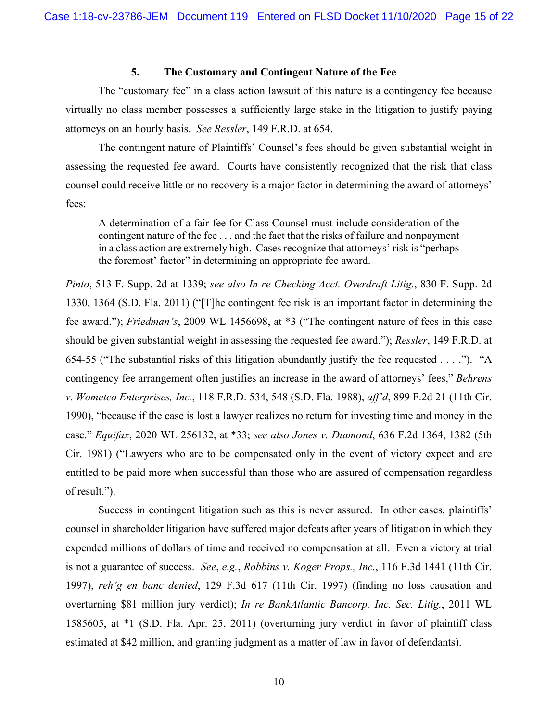#### **5. The Customary and Contingent Nature of the Fee**

The "customary fee" in a class action lawsuit of this nature is a contingency fee because virtually no class member possesses a sufficiently large stake in the litigation to justify paying attorneys on an hourly basis. *See Ressler*, 149 F.R.D. at 654.

The contingent nature of Plaintiffs' Counsel's fees should be given substantial weight in assessing the requested fee award. Courts have consistently recognized that the risk that class counsel could receive little or no recovery is a major factor in determining the award of attorneys' fees:

A determination of a fair fee for Class Counsel must include consideration of the contingent nature of the fee . . . and the fact that the risks of failure and nonpayment in a class action are extremely high. Cases recognize that attorneys' risk is "perhaps the foremost' factor" in determining an appropriate fee award.

*Pinto*, 513 F. Supp. 2d at 1339; *see also In re Checking Acct. Overdraft Litig.*, 830 F. Supp. 2d 1330, 1364 (S.D. Fla. 2011) ("[T]he contingent fee risk is an important factor in determining the fee award."); *Friedman's*, 2009 WL 1456698, at \*3 ("The contingent nature of fees in this case should be given substantial weight in assessing the requested fee award."); *Ressler*, 149 F.R.D. at 654-55 ("The substantial risks of this litigation abundantly justify the fee requested . . . ."). "A contingency fee arrangement often justifies an increase in the award of attorneys' fees," *Behrens v. Wometco Enterprises, Inc.*, 118 F.R.D. 534, 548 (S.D. Fla. 1988), *aff'd*, 899 F.2d 21 (11th Cir. 1990), "because if the case is lost a lawyer realizes no return for investing time and money in the case." *Equifax*, 2020 WL 256132, at \*33; *see also Jones v. Diamond*, 636 F.2d 1364, 1382 (5th Cir. 1981) ("Lawyers who are to be compensated only in the event of victory expect and are entitled to be paid more when successful than those who are assured of compensation regardless of result.").

Success in contingent litigation such as this is never assured. In other cases, plaintiffs' counsel in shareholder litigation have suffered major defeats after years of litigation in which they expended millions of dollars of time and received no compensation at all. Even a victory at trial is not a guarantee of success. *See*, *e.g.*, *Robbins v. Koger Props., Inc.*, 116 F.3d 1441 (11th Cir. 1997), *reh'g en banc denied*, 129 F.3d 617 (11th Cir. 1997) (finding no loss causation and overturning \$81 million jury verdict); *In re BankAtlantic Bancorp, Inc. Sec. Litig.*, 2011 WL 1585605, at \*1 (S.D. Fla. Apr. 25, 2011) (overturning jury verdict in favor of plaintiff class estimated at \$42 million, and granting judgment as a matter of law in favor of defendants).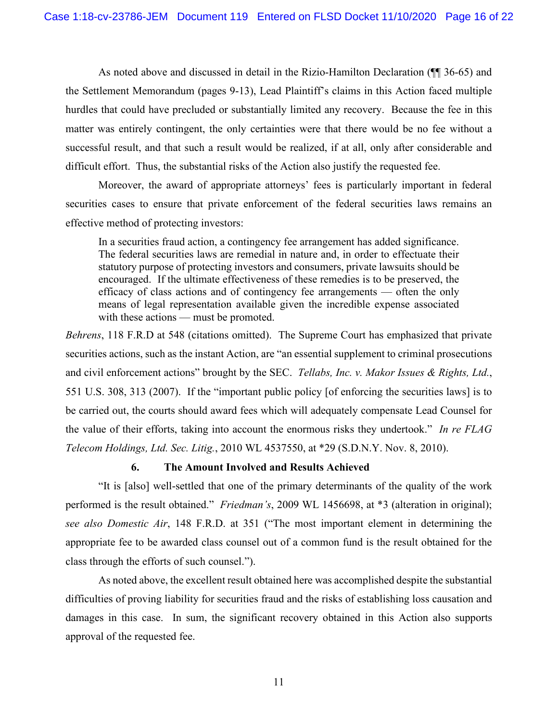As noted above and discussed in detail in the Rizio-Hamilton Declaration (¶¶ 36-65) and the Settlement Memorandum (pages 9-13), Lead Plaintiff's claims in this Action faced multiple hurdles that could have precluded or substantially limited any recovery. Because the fee in this matter was entirely contingent, the only certainties were that there would be no fee without a successful result, and that such a result would be realized, if at all, only after considerable and difficult effort. Thus, the substantial risks of the Action also justify the requested fee.

Moreover, the award of appropriate attorneys' fees is particularly important in federal securities cases to ensure that private enforcement of the federal securities laws remains an effective method of protecting investors:

In a securities fraud action, a contingency fee arrangement has added significance. The federal securities laws are remedial in nature and, in order to effectuate their statutory purpose of protecting investors and consumers, private lawsuits should be encouraged. If the ultimate effectiveness of these remedies is to be preserved, the efficacy of class actions and of contingency fee arrangements — often the only means of legal representation available given the incredible expense associated with these actions — must be promoted.

*Behrens*, 118 F.R.D at 548 (citations omitted). The Supreme Court has emphasized that private securities actions, such as the instant Action, are "an essential supplement to criminal prosecutions and civil enforcement actions" brought by the SEC. *Tellabs, Inc. v. Makor Issues & Rights, Ltd.*, 551 U.S. 308, 313 (2007). If the "important public policy [of enforcing the securities laws] is to be carried out, the courts should award fees which will adequately compensate Lead Counsel for the value of their efforts, taking into account the enormous risks they undertook." *In re FLAG Telecom Holdings, Ltd. Sec. Litig.*, 2010 WL 4537550, at \*29 (S.D.N.Y. Nov. 8, 2010).

### **6. The Amount Involved and Results Achieved**

"It is [also] well-settled that one of the primary determinants of the quality of the work performed is the result obtained." *Friedman's*, 2009 WL 1456698, at \*3 (alteration in original); *see also Domestic Air*, 148 F.R.D. at 351 ("The most important element in determining the appropriate fee to be awarded class counsel out of a common fund is the result obtained for the class through the efforts of such counsel.").

As noted above, the excellent result obtained here was accomplished despite the substantial difficulties of proving liability for securities fraud and the risks of establishing loss causation and damages in this case. In sum, the significant recovery obtained in this Action also supports approval of the requested fee.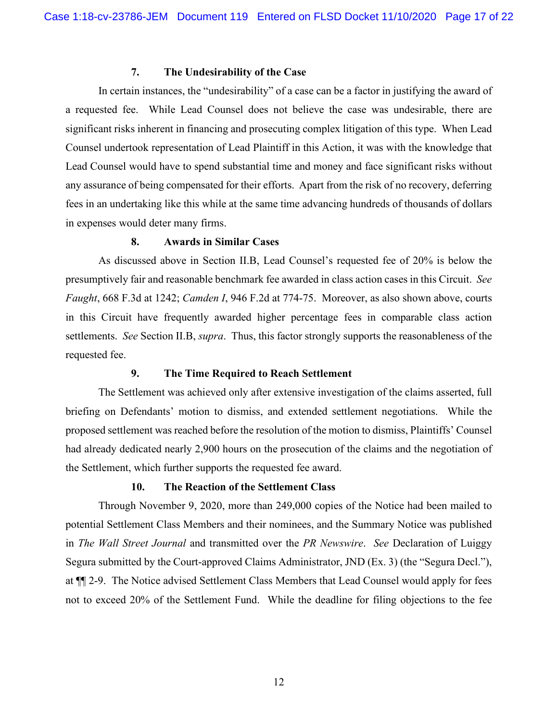# **7. The Undesirability of the Case**

In certain instances, the "undesirability" of a case can be a factor in justifying the award of a requested fee. While Lead Counsel does not believe the case was undesirable, there are significant risks inherent in financing and prosecuting complex litigation of this type. When Lead Counsel undertook representation of Lead Plaintiff in this Action, it was with the knowledge that Lead Counsel would have to spend substantial time and money and face significant risks without any assurance of being compensated for their efforts. Apart from the risk of no recovery, deferring fees in an undertaking like this while at the same time advancing hundreds of thousands of dollars in expenses would deter many firms.

#### **8. Awards in Similar Cases**

As discussed above in Section II.B, Lead Counsel's requested fee of 20% is below the presumptively fair and reasonable benchmark fee awarded in class action cases in this Circuit. *See Faught*, 668 F.3d at 1242; *Camden I*, 946 F.2d at 774-75. Moreover, as also shown above, courts in this Circuit have frequently awarded higher percentage fees in comparable class action settlements. *See* Section II.B, *supra*. Thus, this factor strongly supports the reasonableness of the requested fee.

# **9. The Time Required to Reach Settlement**

The Settlement was achieved only after extensive investigation of the claims asserted, full briefing on Defendants' motion to dismiss, and extended settlement negotiations. While the proposed settlement was reached before the resolution of the motion to dismiss, Plaintiffs' Counsel had already dedicated nearly 2,900 hours on the prosecution of the claims and the negotiation of the Settlement, which further supports the requested fee award.

# **10. The Reaction of the Settlement Class**

Through November 9, 2020, more than 249,000 copies of the Notice had been mailed to potential Settlement Class Members and their nominees, and the Summary Notice was published in *The Wall Street Journal* and transmitted over the *PR Newswire*. *See* Declaration of Luiggy Segura submitted by the Court-approved Claims Administrator, JND (Ex. 3) (the "Segura Decl."), at ¶¶ 2-9. The Notice advised Settlement Class Members that Lead Counsel would apply for fees not to exceed 20% of the Settlement Fund. While the deadline for filing objections to the fee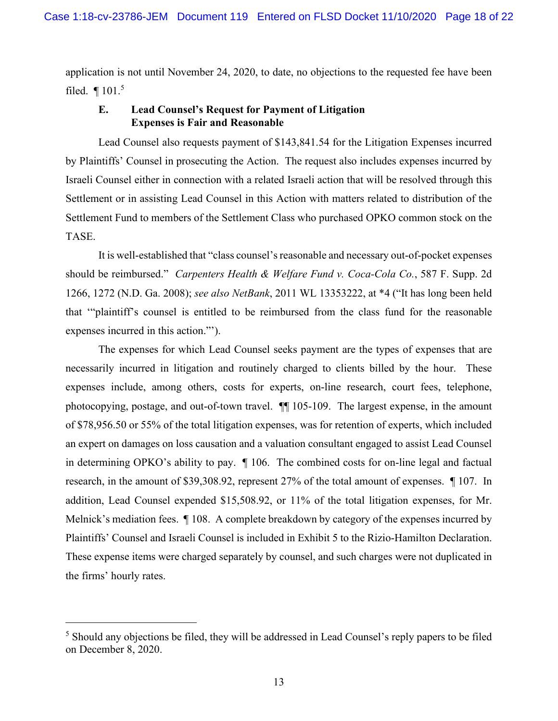application is not until November 24, 2020, to date, no objections to the requested fee have been filed. ¶ 101.<sup>5</sup>

# **E. Lead Counsel's Request for Payment of Litigation Expenses is Fair and Reasonable**

Lead Counsel also requests payment of \$143,841.54 for the Litigation Expenses incurred by Plaintiffs' Counsel in prosecuting the Action. The request also includes expenses incurred by Israeli Counsel either in connection with a related Israeli action that will be resolved through this Settlement or in assisting Lead Counsel in this Action with matters related to distribution of the Settlement Fund to members of the Settlement Class who purchased OPKO common stock on the TASE.

It is well-established that "class counsel's reasonable and necessary out-of-pocket expenses should be reimbursed." *Carpenters Health & Welfare Fund v. Coca-Cola Co.*, 587 F. Supp. 2d 1266, 1272 (N.D. Ga. 2008); *see also NetBank*, 2011 WL 13353222, at \*4 ("It has long been held that '"plaintiff's counsel is entitled to be reimbursed from the class fund for the reasonable expenses incurred in this action."').

The expenses for which Lead Counsel seeks payment are the types of expenses that are necessarily incurred in litigation and routinely charged to clients billed by the hour. These expenses include, among others, costs for experts, on-line research, court fees, telephone, photocopying, postage, and out-of-town travel. ¶¶ 105-109. The largest expense, in the amount of \$78,956.50 or 55% of the total litigation expenses, was for retention of experts, which included an expert on damages on loss causation and a valuation consultant engaged to assist Lead Counsel in determining OPKO's ability to pay. ¶ 106. The combined costs for on-line legal and factual research, in the amount of \$39,308.92, represent 27% of the total amount of expenses. ¶ 107. In addition, Lead Counsel expended \$15,508.92, or 11% of the total litigation expenses, for Mr. Melnick's mediation fees.  $\parallel$  108. A complete breakdown by category of the expenses incurred by Plaintiffs' Counsel and Israeli Counsel is included in Exhibit 5 to the Rizio-Hamilton Declaration. These expense items were charged separately by counsel, and such charges were not duplicated in the firms' hourly rates.

<sup>&</sup>lt;sup>5</sup> Should any objections be filed, they will be addressed in Lead Counsel's reply papers to be filed on December 8, 2020.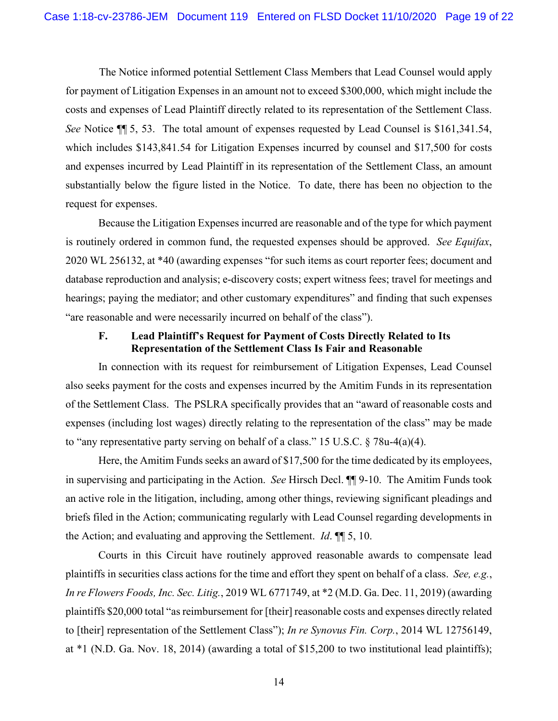The Notice informed potential Settlement Class Members that Lead Counsel would apply for payment of Litigation Expenses in an amount not to exceed \$300,000, which might include the costs and expenses of Lead Plaintiff directly related to its representation of the Settlement Class. *See* Notice ¶¶ 5, 53. The total amount of expenses requested by Lead Counsel is \$161,341.54, which includes \$143,841.54 for Litigation Expenses incurred by counsel and \$17,500 for costs and expenses incurred by Lead Plaintiff in its representation of the Settlement Class, an amount substantially below the figure listed in the Notice. To date, there has been no objection to the request for expenses.

Because the Litigation Expenses incurred are reasonable and of the type for which payment is routinely ordered in common fund, the requested expenses should be approved. *See Equifax*, 2020 WL 256132, at \*40 (awarding expenses "for such items as court reporter fees; document and database reproduction and analysis; e-discovery costs; expert witness fees; travel for meetings and hearings; paying the mediator; and other customary expenditures" and finding that such expenses "are reasonable and were necessarily incurred on behalf of the class").

# **F. Lead Plaintiff's Request for Payment of Costs Directly Related to Its Representation of the Settlement Class Is Fair and Reasonable**

In connection with its request for reimbursement of Litigation Expenses, Lead Counsel also seeks payment for the costs and expenses incurred by the Amitim Funds in its representation of the Settlement Class. The PSLRA specifically provides that an "award of reasonable costs and expenses (including lost wages) directly relating to the representation of the class" may be made to "any representative party serving on behalf of a class." 15 U.S.C. § 78u-4(a)(4).

Here, the Amitim Funds seeks an award of \$17,500 for the time dedicated by its employees, in supervising and participating in the Action. *See* Hirsch Decl. ¶¶ 9-10. The Amitim Funds took an active role in the litigation, including, among other things, reviewing significant pleadings and briefs filed in the Action; communicating regularly with Lead Counsel regarding developments in the Action; and evaluating and approving the Settlement. *Id*. ¶¶ 5, 10.

Courts in this Circuit have routinely approved reasonable awards to compensate lead plaintiffs in securities class actions for the time and effort they spent on behalf of a class. *See, e.g.*, *In re Flowers Foods, Inc. Sec. Litig.*, 2019 WL 6771749, at \*2 (M.D. Ga. Dec. 11, 2019) (awarding plaintiffs \$20,000 total "as reimbursement for [their] reasonable costs and expenses directly related to [their] representation of the Settlement Class"); *In re Synovus Fin. Corp.*, 2014 WL 12756149, at \*1 (N.D. Ga. Nov. 18, 2014) (awarding a total of \$15,200 to two institutional lead plaintiffs);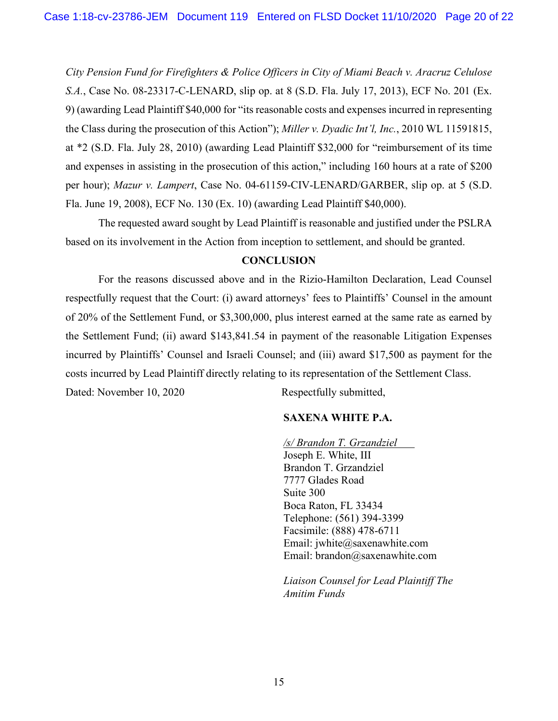*City Pension Fund for Firefighters & Police Officers in City of Miami Beach v. Aracruz Celulose S.A.*, Case No. 08-23317-C-LENARD, slip op. at 8 (S.D. Fla. July 17, 2013), ECF No. 201 (Ex. 9) (awarding Lead Plaintiff \$40,000 for "its reasonable costs and expenses incurred in representing the Class during the prosecution of this Action"); *Miller v. Dyadic Int'l, Inc.*, 2010 WL 11591815, at \*2 (S.D. Fla. July 28, 2010) (awarding Lead Plaintiff \$32,000 for "reimbursement of its time and expenses in assisting in the prosecution of this action," including 160 hours at a rate of \$200 per hour); *Mazur v. Lampert*, Case No. 04-61159-CIV-LENARD/GARBER, slip op. at 5 (S.D. Fla. June 19, 2008), ECF No. 130 (Ex. 10) (awarding Lead Plaintiff \$40,000).

The requested award sought by Lead Plaintiff is reasonable and justified under the PSLRA based on its involvement in the Action from inception to settlement, and should be granted.

# **CONCLUSION**

For the reasons discussed above and in the Rizio-Hamilton Declaration, Lead Counsel respectfully request that the Court: (i) award attorneys' fees to Plaintiffs' Counsel in the amount of 20% of the Settlement Fund, or \$3,300,000, plus interest earned at the same rate as earned by the Settlement Fund; (ii) award \$143,841.54 in payment of the reasonable Litigation Expenses incurred by Plaintiffs' Counsel and Israeli Counsel; and (iii) award \$17,500 as payment for the costs incurred by Lead Plaintiff directly relating to its representation of the Settlement Class. Dated: November 10, 2020 Respectfully submitted,

# **SAXENA WHITE P.A.**

*/s/ Brandon T. Grzandziel*  Joseph E. White, III Brandon T. Grzandziel 7777 Glades Road Suite 300 Boca Raton, FL 33434 Telephone: (561) 394-3399 Facsimile: (888) 478-6711 Email: jwhite@saxenawhite.com Email: brandon@saxenawhite.com

*Liaison Counsel for Lead Plaintiff The Amitim Funds*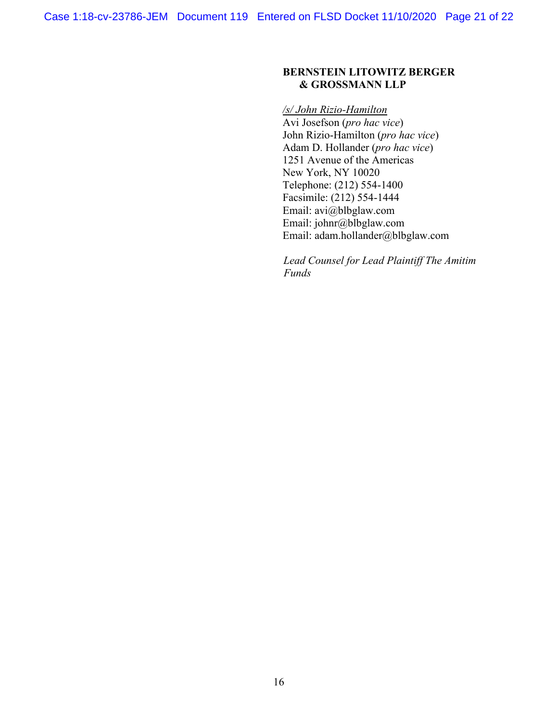# **BERNSTEIN LITOWITZ BERGER & GROSSMANN LLP**

#### */s/ John Rizio-Hamilton*

Avi Josefson (*pro hac vice*) John Rizio-Hamilton (*pro hac vice*) Adam D. Hollander (*pro hac vice*) 1251 Avenue of the Americas New York, NY 10020 Telephone: (212) 554-1400 Facsimile: (212) 554-1444 Email: avi@blbglaw.com Email: johnr@blbglaw.com Email: adam.hollander@blbglaw.com

*Lead Counsel for Lead Plaintiff The Amitim Funds*